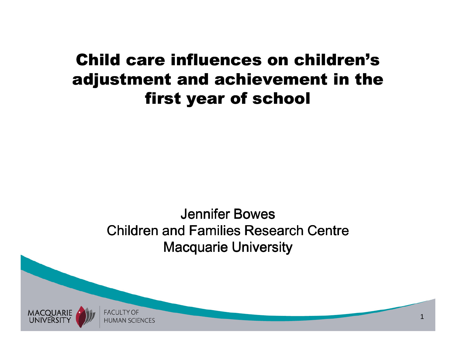### Child care influences on children's adjustment and achievement in the first year of school

#### Jennifer Bowes Children and Families Research CentreMacquarie University

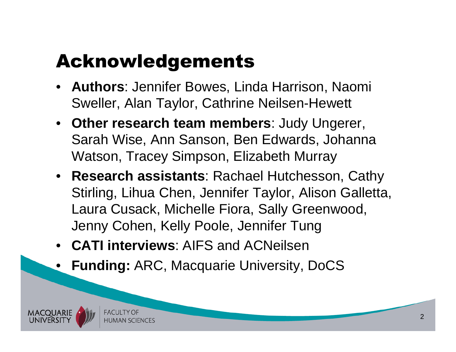## Acknowledgements

- **Authors**: Jennifer Bowes, Linda Harrison, Naomi Sweller, Alan Taylor, Cathrine Neilsen-Hewett
- **Other research team members**: Judy Ungerer, Sarah Wise, Ann Sanson, Ben Edwards, Johanna Watson, Tracey Simpson, Elizabeth Murray
- **Research assistants**: Rachael Hutchesson, Cathy Stirling, Lihua Chen, Jennifer Taylor, Alison Galletta, Laura Cusack, Michelle Fiora, Sally Greenwood, Jenny Cohen, Kelly Poole, Jennifer Tung
- **CATI interviews**: AIFS and ACNeilsen
- **Funding:** ARC, Macquarie University, DoCS

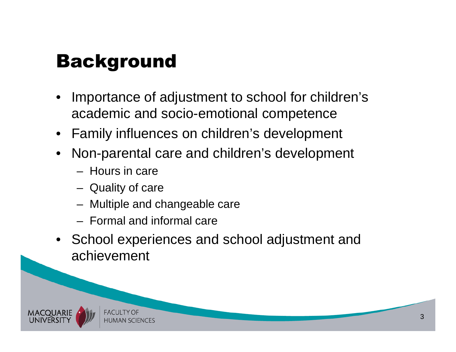## Background

- • Importance of adjustment to school for children's academic and socio-emotional competence
- Family influences on children's development
- Non-parental care and children's development
	- $-$  Hours in care
	- Quality of care
	- Multiple and changeable care
	- Formal and informal care
- School experiences and school adjustment and achievement

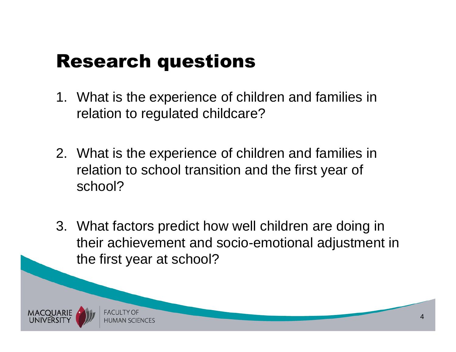## Research questions

- 1. What is the experience of children and families in relation to regulated childcare?
- 2. What is the experience of children and families in relation to school transition and the first year of school?
- 3. What factors predict how well children are doing in their achievement and socio-emotional adjustment in the first year at school?

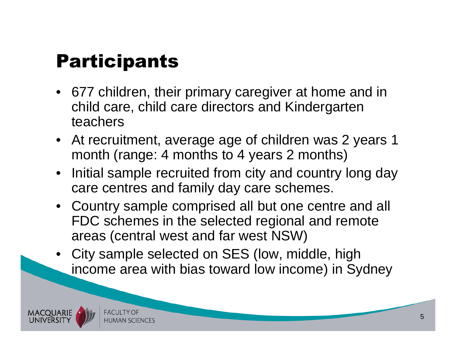# **Participants**

- 677 children, their primary caregiver at home and in child care, child care directors and Kindergarten teachers
- At recruitment, average age of children was 2 years 1 month (range: 4 months to 4 years 2 months)
- Initial sample recruited from city and country long day care centres and family day care schemes.
- Country sample comprised all but one centre and all FDC schemes in the selected regional and remote areas (central west and far west NSW)
- City sample selected on SES (low, middle, high income area with bias toward low income) in Sydney

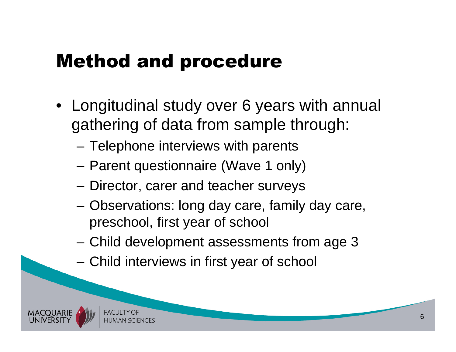### Method and procedure

- Longitudinal study over 6 years with annual gathering of data from sample through:
	- –Telephone interviews with parents
	- –Parent questionnaire (Wave 1 only)
	- –Director, carer and teacher surveys
	- Observations: long day care, family day care, preschool, first year of school
	- Child development assessments from age 3
	- Child interviews in first year of school

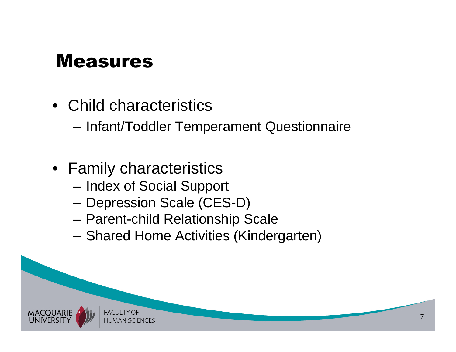### Measures

• Child characteristics

–Infant/Toddler Temperament Questionnaire

- Family characteristics
	- Index of Social Support
	- Depression Scale (CES-D)
	- Parent-child Relationship Scale
	- Sharad Homa Activitias (Kinda Shared Home Activities (Kindergarten)

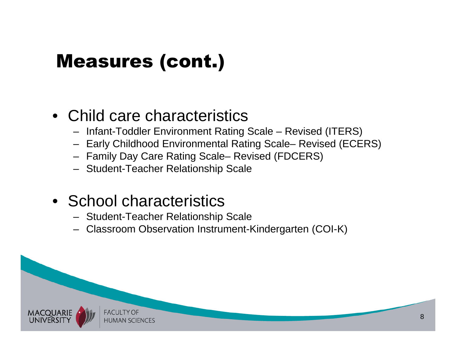## Measures (cont.)

### • Child care characteristics

- Infant-Toddler Environment Rating Scale Revised (ITERS)
- Early Childhood Environmental Rating Scale– Revised (ECERS)
- Family Day Care Rating Scale– Revised (FDCERS)
- Student-Teacher Relationship Scale

### • School characteristics

- Student-Teacher Relationship Scale
- Classroom Observation Instrument-Kindergarten (COI-K)

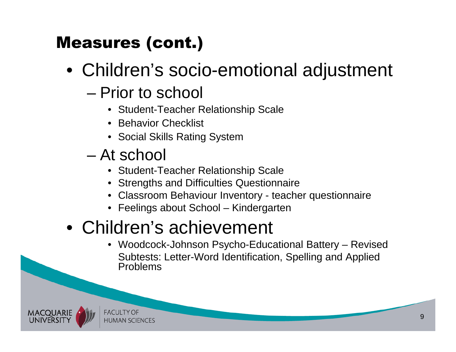### Measures (cont.)

- Children's socio-emotional adjustment
	- – Prior to school
		- Student-Teacher Relationship Scale
		- Behavior Checklist
		- Social Skills Rating System
	- – At school
		- Student-Teacher Relationship Scale
		- Strengths and Difficulties Questionnaire
		- Classroom Behaviour Inventory teacher questionnaire
		- Feelings about School Kindergarten

## • Children's achievement

• Woodcock-Johnson Psycho-Educational Battery – RevisedSubtests: Letter-Word Identification, Spelling and Applied Problems



**FACULTY OF HUMAN SCIENCES**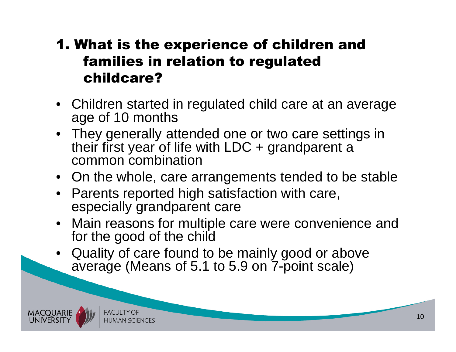#### 1. What is the experience of children and families in relation to regulated childcare?

- Children started in regulated child care at an averageage of 10 months
- They generally attended one or two care settings in their first year of life with  $LDC +$  grandparent a common combination
- On the whole, care arrangements tended to be stable
- Parents reported high satisfaction with care, especially grandparent care
- Main reasons for multiple care were convenience and for the good of the child
- Quality of care found to be mainly good or above average (Means of 5.1 to 5.9 on 7-point scale)

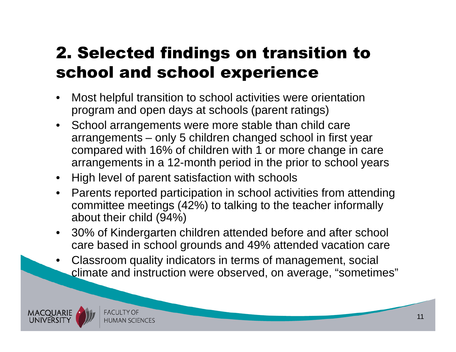### 2. Selected findings on transition to school and school experience

- • Most helpful transition to school activities were orientation program and open days at schools (parent ratings)
- School arrangements were more stable than child care arrangements – only 5 children changed school in first year compared with 16% of children with 1 or more change in care arrangements in a 12-month period in the prior to school years
- High level of parent satisfaction with schools
- Parents reported participation in school activities from attending committee meetings (42%) to talking to the teacher informally about their child (94%)
- • 30% of Kindergarten children attended before and after school care based in school grounds and 49% attended vacation care
- • Classroom quality indicators in terms of management, social climate and instruction were observed, on average, "sometimes"

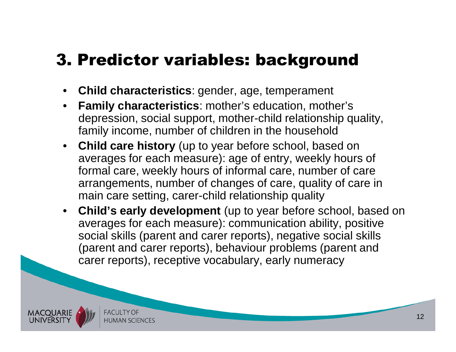### 3. Predictor variables: background

- $\bullet$ **Child characteristics**: gender, age, temperament
- $\bullet$  **Family characteristics**: mother's education, mother's depression, social support, mother-child relationship quality, family income, number of children in the household
- **Child care history** (up to year before school, based on  $\bullet$ averages for each measure): age of entry, weekly hours of formal care, weekly hours of informal care, number of care arrangements, number of changes of care, quality of care in main care setting, carer-child relationship quality
- **Child's early development** (up to year before school, based on  $\bullet$ averages for each measure): communication ability, positive social skills (parent and carer reports), negative social skills (parent and carer reports), behaviour problems (parent and carer reports), receptive vocabulary, early numeracy

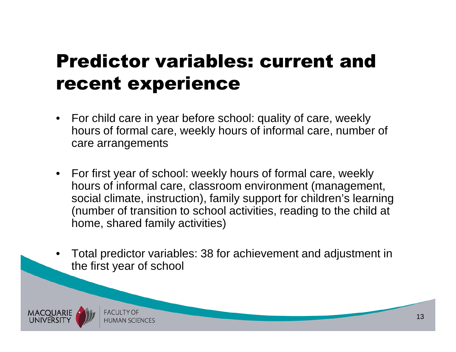## Predictor variables: current and recent experience

- For child care in year before school: quality of care, weekly hours of formal care, weekly hours of informal care, number of care arrangements
- For first year of school: weekly hours of formal care, weekly hours of informal care, classroom environment (management, social climate, instruction), family support for children's learning (number of transition to school activities, reading to the child at home, shared family activities)
- • Total predictor variables: 38 for achievement and adjustment in the first year of school

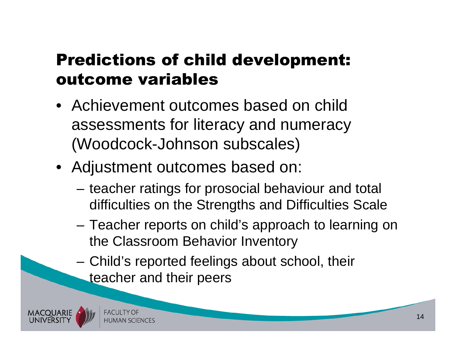### Predictions of child development: outcome variables

- Achievement outcomes based on child assessments for literacy and numeracy (Woodcock-Johnson subscales)
- Adjustment outcomes based on:
	- teacher ratings for prosocial behaviour and total difficulties on the Strengths and Difficulties Scale
	- – Teacher reports on child's approach to learning on the Classroom Behavior Inventory
	- Child's reported feelings about school, their teacher and their peers

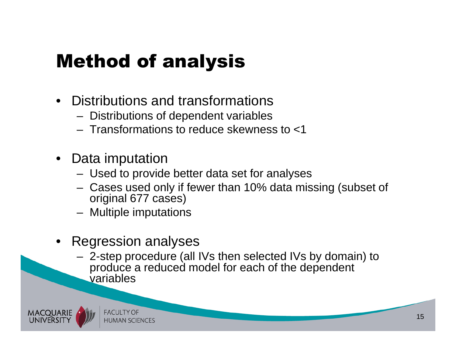# Method of analysis

- • Distributions and transformations
	- Distributions of dependent variable Distributions of dependent variables
	- Transformations to reduce skewne Transformations to reduce skewness to <1
- Data imputation
	- $-$  Tiead to provic - Used to provide better data set for analyses
	- Cases used only if fewer than 10% data missing (subset of original 677 cases)
	- Multiple imputations
- • Regression analyses
	- 2-stan nrocadura (al 2-step procedure (all IVs then selected IVs by domain) to produce a reduced model for each of the dependent variables

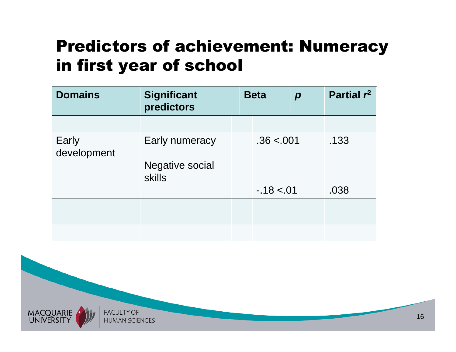### Predictors of achievement: Numeracy in first year of school

| <b>Domains</b>       | <b>Significant</b><br>predictors        | <b>Beta</b> | $\boldsymbol{p}$ | Partial $r^2$ |
|----------------------|-----------------------------------------|-------------|------------------|---------------|
|                      |                                         |             |                  |               |
| Early<br>development | Early numeracy                          | .36 < .001  |                  | .133          |
|                      | <b>Negative social</b><br><b>skills</b> |             |                  |               |
|                      |                                         | $-18 < 01$  |                  | .038          |
|                      |                                         |             |                  |               |
|                      |                                         |             |                  |               |

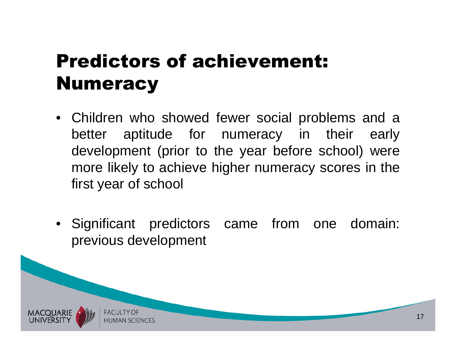# Predictors of achievement: **Numeracy**

- Children who showed fewer social problems and <sup>a</sup>early better aptitude for numeracy in their development (prior to the year before school) were more likely to achieve higher numeracy scores in thefirst year of school
- Significant predictors came from one domain: previous development

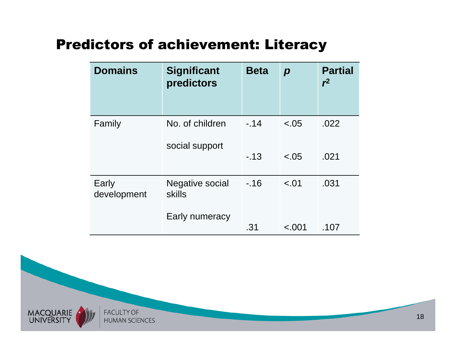#### Predictors of achievement: Literacy

| <b>Domains</b>       | <b>Significant</b><br>predictors        | <b>Beta</b> | $\boldsymbol{p}$ | <b>Partial</b><br>r <sup>2</sup> |
|----------------------|-----------------------------------------|-------------|------------------|----------------------------------|
| Family               | No. of children<br>social support       | $-.14$      | $-.05$           | .022                             |
|                      |                                         | $-13$       | $-.05$           | .021                             |
| Early<br>development | <b>Negative social</b><br><b>skills</b> | $-.16$      | $-.01$           | .031                             |
|                      | Early numeracy                          | .31         | < .001           | .107                             |

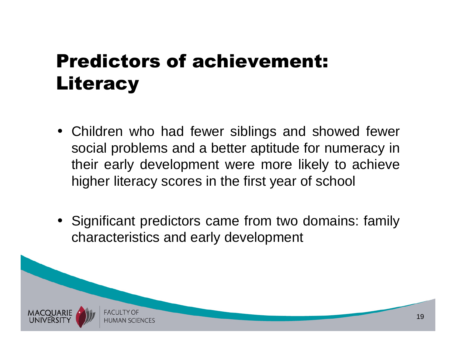## Predictors of achievement: **Literacy**

- Children who had fewer siblings and showed fewer social problems and <sup>a</sup> better aptitude for numeracy in their early development were more likely to achievehigher literacy scores in the first year of school
- Significant predictors came from two domains: familycharacteristics and early development

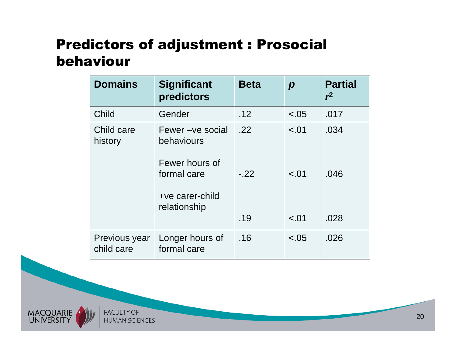#### Predictors of adjustment : Prosocial behaviour

| <b>Domains</b>              | <b>Significant</b><br>predictors                                                                    | <b>Beta</b>          | $\boldsymbol{p}$           | <b>Partial</b><br>$r^2$ |
|-----------------------------|-----------------------------------------------------------------------------------------------------|----------------------|----------------------------|-------------------------|
| Child                       | Gender                                                                                              | .12                  | $-.05$                     | .017                    |
| Child care<br>history       | Fewer – ve social<br>behaviours<br>Fewer hours of<br>formal care<br>+ve carer-child<br>relationship | .22<br>$-.22$<br>.19 | $-.01$<br>$-.01$<br>$-.01$ | .034<br>.046<br>.028    |
|                             |                                                                                                     |                      |                            |                         |
| Previous year<br>child care | Longer hours of<br>formal care                                                                      | .16                  | $-.05$                     | .026                    |

**FACULTY OF HUMAN SCIENCES** 

MACQUARIE<br>UNIVERSITY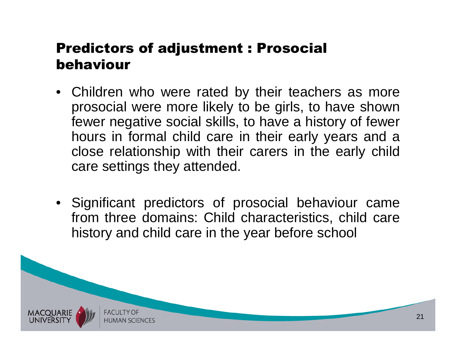#### Predictors of adjustment : Prosocial behaviour

- Children who were rated by their teachers as more prosocial were more likely to be girls, to have shown fewer negative social skills, to have <sup>a</sup> history of fewer hours in formal child care in their early years and <sup>a</sup> close relationship with their carers in the early childcare settings they attended.
- Significant predictors of prosocial behaviour came from three domains: Child characteristics, child carehistory and child care in the year before school

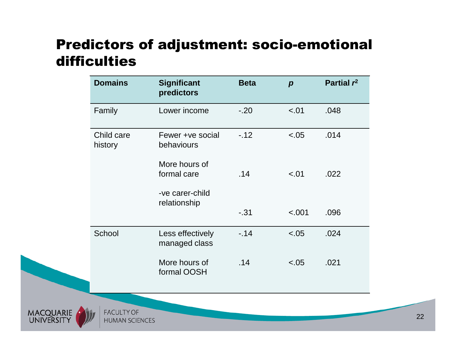#### Predictors of adjustment: socio-emotional difficulties

| <b>Domains</b>        | <b>Significant</b><br>predictors                | <b>Beta</b> | $\boldsymbol{p}$ | Partial $r^2$ |
|-----------------------|-------------------------------------------------|-------------|------------------|---------------|
| Family                | Lower income                                    | $-.20$      | $-.01$           | .048          |
| Child care<br>history | Fewer +ve social<br>behaviours                  | $-.12$      | < .05            | .014          |
|                       | More hours of<br>formal care<br>-ve carer-child | .14         | < .01            | .022          |
|                       | relationship                                    | $-31$       | < .001           | .096          |
| School                | Less effectively<br>managed class               | $-14$       | $-.05$           | .024          |
|                       | More hours of<br>formal OOSH                    | .14         | $-.05$           | .021          |

MACQUARIE<br>UNIVERSITY

**FACULTY OF HUMAN SCIENCES** 

22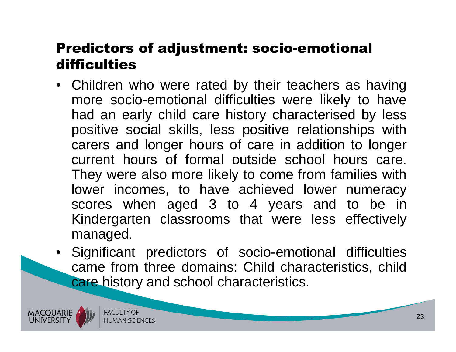#### Predictors of adjustment: socio-emotional difficulties

- Children who were rated by their teachers as having more socio-emotional difficulties were likely to have had an early child care history characterised by less positive social skills, less positive relationships with carers and longer hours of care in addition to longer current hours of formal outside school hours care. They were also more likely to come from families with<br>lower, incomes , to, have, achieved, lower, numeracy lower incomes, to have achieved lower numeracy scores when aged 3 to 4 years and to be in Kindergarten classrooms that were less effectivelymanaged.
- Significant predictors of socio-emotional difficulties came from three domains: Child characteristics, childcare history and school characteristics.

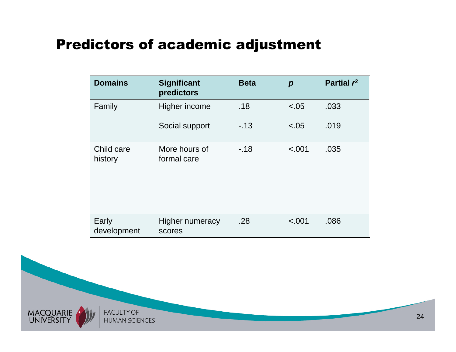#### Predictors of academic adjustment

| <b>Domains</b>        | <b>Significant</b><br>predictors | <b>Beta</b> | $\boldsymbol{p}$ | Partial $r^2$ |
|-----------------------|----------------------------------|-------------|------------------|---------------|
| Family                | Higher income                    | .18         | $-.05$           | .033          |
|                       | Social support                   | $-13$       | $-.05$           | .019          |
| Child care<br>history | More hours of<br>formal care     | $-18$       | < .001           | .035          |
| Early<br>development  | <b>Higher numeracy</b><br>scores | .28         | < .001           | .086          |

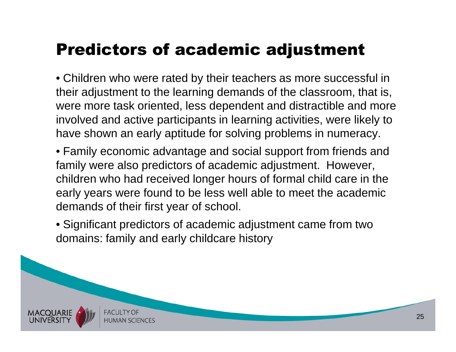### Predictors of academic adjustment

• Children who were rated by their teachers as more successful in their adjustment to the learning demands of the classroom, that is, were more task oriented, less dependent and distractible and more involved and active participants in learning activities, were likely to have shown an early aptitude for solving problems in numeracy.

• Family economic advantage and social support from friends and family were also predictors of academic adjustment. However, children who had received longer hours of formal child care in the early years were found to be less well able to meet the academic demands of their first year of school.

• Significant predictors of academic adjustment came from two domains: family and early childcare history

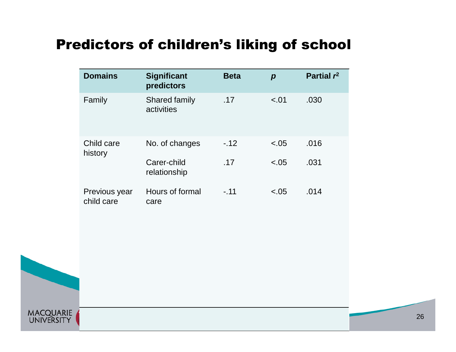#### Predictors of children's liking of school

| <b>Domains</b>              | <b>Significant</b><br>predictors   | <b>Beta</b> | $\boldsymbol{p}$ | Partial $r^2$ |
|-----------------------------|------------------------------------|-------------|------------------|---------------|
| Family                      | <b>Shared family</b><br>activities | .17         | $-.01$           | .030          |
| Child care<br>history       | No. of changes                     | $-12$       | $-.05$           | .016          |
|                             | Carer-child<br>relationship        | .17         | $-.05$           | .031          |
| Previous year<br>child care | Hours of formal<br>care            | $-.11$      | $-.05$           | .014          |

MACQUARIE<br>UNIVERSITY

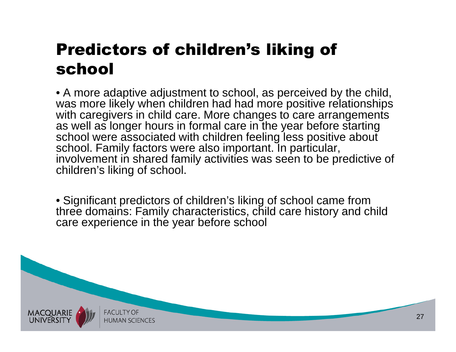### Predictors of children's liking of school

• A more adaptive adjustment to school, as perceived by the child, was more likely when children had had more positive relationships with caregivers in child care. More changes to care arrangements as well as longer hours in formal care in the year before starting school were associated with children feeling less positive about school. Family factors were also important. In particular, involvement in shared family activities was seen to be predictive of children's liking of school.

• Significant predictors of children's liking of school came from three domains: Family characteristics, child care history and child care experience in the year before school